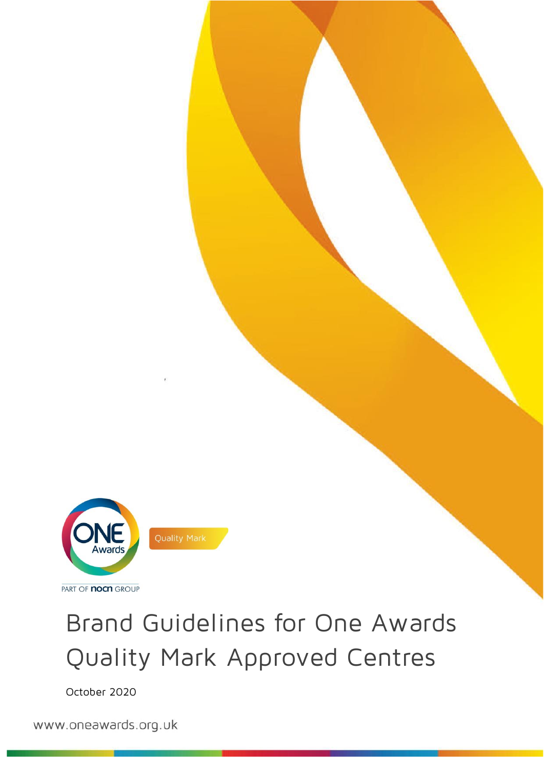

# Brand Guidelines for One Awards Quality Mark Approved Centres

October 2020

www.oneawards.org.uk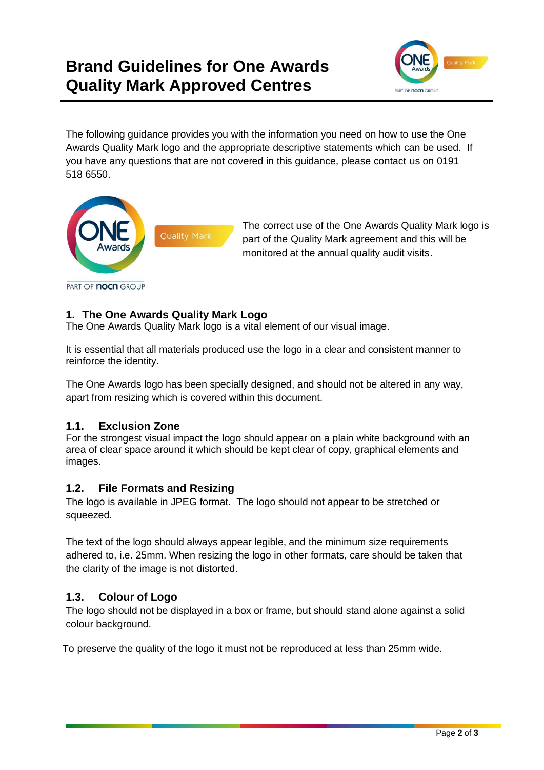# **Brand Guidelines for One Awards Quality Mark Approved Centres**



The following guidance provides you with the information you need on how to use the One Awards Quality Mark logo and the appropriate descriptive statements which can be used. If you have any questions that are not covered in this guidance, please contact us on 0191 518 6550.



The correct use of the One Awards Quality Mark logo is part of the Quality Mark agreement and this will be monitored at the annual quality audit visits.

PART OF **nocn** GROUP

#### **1. The One Awards Quality Mark Logo**

The One Awards Quality Mark logo is a vital element of our visual image.

It is essential that all materials produced use the logo in a clear and consistent manner to reinforce the identity.

The One Awards logo has been specially designed, and should not be altered in any way, apart from resizing which is covered within this document.

#### **1.1. Exclusion Zone**

For the strongest visual impact the logo should appear on a plain white background with an area of clear space around it which should be kept clear of copy, graphical elements and images.

#### **1.2. File Formats and Resizing**

The logo is available in JPEG format. The logo should not appear to be stretched or squeezed.

The text of the logo should always appear legible, and the minimum size requirements adhered to, i.e. 25mm. When resizing the logo in other formats, care should be taken that the clarity of the image is not distorted.

#### **1.3. Colour of Logo**

The logo should not be displayed in a box or frame, but should stand alone against a solid colour background.

To preserve the quality of the logo it must not be reproduced at less than 25mm wide.